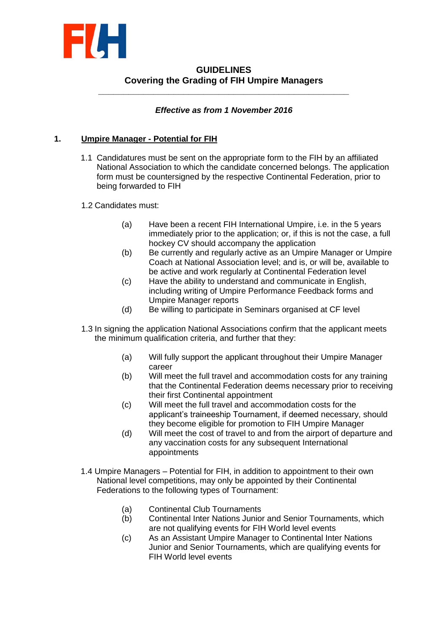

# **GUIDELINES Covering the Grading of FIH Umpire Managers**

**\_\_\_\_\_\_\_\_\_\_\_\_\_\_\_\_\_\_\_\_\_\_\_\_\_\_\_\_\_\_\_\_\_\_\_\_\_\_\_\_\_\_\_\_\_\_\_\_\_\_**

## *Effective as from 1 November 2016*

### **1. Umpire Manager - Potential for FIH**

- 1.1 Candidatures must be sent on the appropriate form to the FIH by an affiliated National Association to which the candidate concerned belongs. The application form must be countersigned by the respective Continental Federation, prior to being forwarded to FIH
- 1.2 Candidates must:
	- (a) Have been a recent FIH International Umpire, i.e. in the 5 years immediately prior to the application; or, if this is not the case, a full hockey CV should accompany the application
	- (b) Be currently and regularly active as an Umpire Manager or Umpire Coach at National Association level; and is, or will be, available to be active and work regularly at Continental Federation level
	- (c) Have the ability to understand and communicate in English, including writing of Umpire Performance Feedback forms and Umpire Manager reports
	- (d) Be willing to participate in Seminars organised at CF level
- 1.3 In signing the application National Associations confirm that the applicant meets the minimum qualification criteria, and further that they:
	- (a) Will fully support the applicant throughout their Umpire Manager career
	- (b) Will meet the full travel and accommodation costs for any training that the Continental Federation deems necessary prior to receiving their first Continental appointment
	- (c) Will meet the full travel and accommodation costs for the applicant's traineeship Tournament, if deemed necessary, should they become eligible for promotion to FIH Umpire Manager
	- (d) Will meet the cost of travel to and from the airport of departure and any vaccination costs for any subsequent International appointments
- 1.4 Umpire Managers Potential for FIH, in addition to appointment to their own National level competitions, may only be appointed by their Continental Federations to the following types of Tournament:
	- (a) Continental Club Tournaments
	- (b) Continental Inter Nations Junior and Senior Tournaments, which are not qualifying events for FIH World level events
	- (c) As an Assistant Umpire Manager to Continental Inter Nations Junior and Senior Tournaments, which are qualifying events for FIH World level events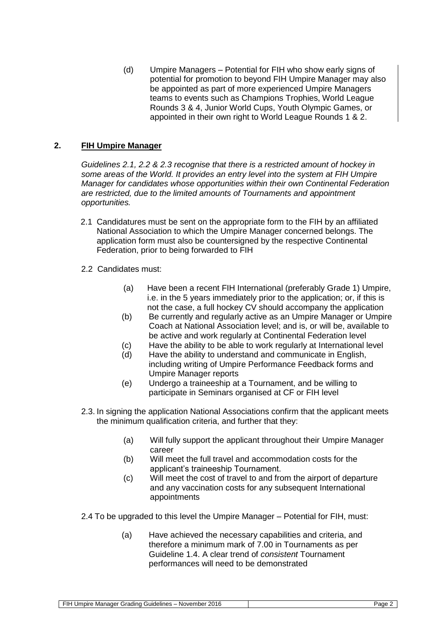(d) Umpire Managers – Potential for FIH who show early signs of potential for promotion to beyond FIH Umpire Manager may also be appointed as part of more experienced Umpire Managers teams to events such as Champions Trophies, World League Rounds 3 & 4, Junior World Cups, Youth Olympic Games, or appointed in their own right to World League Rounds 1 & 2.

### **2. FIH Umpire Manager**

*Guidelines 2.1, 2.2 & 2.3 recognise that there is a restricted amount of hockey in some areas of the World. It provides an entry level into the system at FIH Umpire Manager for candidates whose opportunities within their own Continental Federation are restricted, due to the limited amounts of Tournaments and appointment opportunities.*

- 2.1 Candidatures must be sent on the appropriate form to the FIH by an affiliated National Association to which the Umpire Manager concerned belongs. The application form must also be countersigned by the respective Continental Federation, prior to being forwarded to FIH
- 2.2 Candidates must:
	- (a) Have been a recent FIH International (preferably Grade 1) Umpire, i.e. in the 5 years immediately prior to the application; or, if this is not the case, a full hockey CV should accompany the application
	- (b) Be currently and regularly active as an Umpire Manager or Umpire Coach at National Association level; and is, or will be, available to be active and work regularly at Continental Federation level
	- (c) Have the ability to be able to work regularly at International level
	- (d) Have the ability to understand and communicate in English, including writing of Umpire Performance Feedback forms and Umpire Manager reports
	- (e) Undergo a traineeship at a Tournament, and be willing to participate in Seminars organised at CF or FIH level
- 2.3. In signing the application National Associations confirm that the applicant meets the minimum qualification criteria, and further that they:
	- (a) Will fully support the applicant throughout their Umpire Manager career
	- (b) Will meet the full travel and accommodation costs for the applicant's traineeship Tournament.
	- (c) Will meet the cost of travel to and from the airport of departure and any vaccination costs for any subsequent International appointments
- 2.4 To be upgraded to this level the Umpire Manager Potential for FIH, must:
	- (a) Have achieved the necessary capabilities and criteria, and therefore a minimum mark of 7.00 in Tournaments as per Guideline 1.4. A clear trend of *consistent* Tournament performances will need to be demonstrated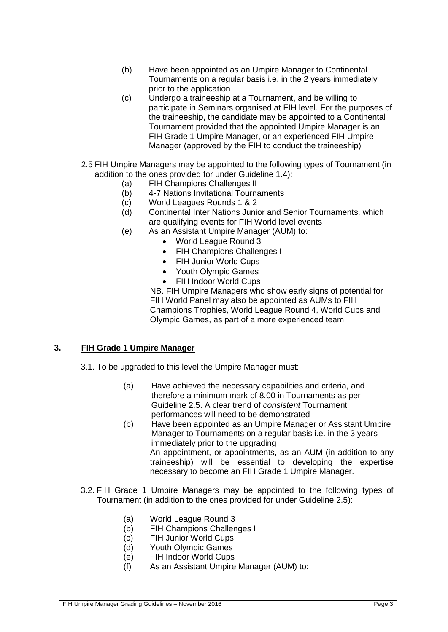- (b) Have been appointed as an Umpire Manager to Continental Tournaments on a regular basis i.e. in the 2 years immediately prior to the application
- (c) Undergo a traineeship at a Tournament, and be willing to participate in Seminars organised at FIH level. For the purposes of the traineeship, the candidate may be appointed to a Continental Tournament provided that the appointed Umpire Manager is an FIH Grade 1 Umpire Manager, or an experienced FIH Umpire Manager (approved by the FIH to conduct the traineeship)
- 2.5 FIH Umpire Managers may be appointed to the following types of Tournament (in addition to the ones provided for under Guideline 1.4):
	- (a) FIH Champions Challenges II
	- (b) 4-7 Nations Invitational Tournaments
	- (c) World Leagues Rounds 1 & 2
	- (d) Continental Inter Nations Junior and Senior Tournaments, which are qualifying events for FIH World level events
	- (e) As an Assistant Umpire Manager (AUM) to:
		- World League Round 3
		- FIH Champions Challenges I
		- FIH Junior World Cups
		- Youth Olympic Games
		- FIH Indoor World Cups

NB. FIH Umpire Managers who show early signs of potential for FIH World Panel may also be appointed as AUMs to FIH Champions Trophies, World League Round 4, World Cups and Olympic Games, as part of a more experienced team.

### **3. FIH Grade 1 Umpire Manager**

- 3.1. To be upgraded to this level the Umpire Manager must:
	- (a) Have achieved the necessary capabilities and criteria, and therefore a minimum mark of 8.00 in Tournaments as per Guideline 2.5. A clear trend of *consistent* Tournament performances will need to be demonstrated
	- (b) Have been appointed as an Umpire Manager or Assistant Umpire Manager to Tournaments on a regular basis i.e. in the 3 years immediately prior to the upgrading An appointment, or appointments, as an AUM (in addition to any traineeship) will be essential to developing the expertise necessary to become an FIH Grade 1 Umpire Manager.
- 3.2. FIH Grade 1 Umpire Managers may be appointed to the following types of Tournament (in addition to the ones provided for under Guideline 2.5):
	- (a) World League Round 3
	- (b) FIH Champions Challenges I
	- (c) FIH Junior World Cups
	- (d) Youth Olympic Games
	- (e) FIH Indoor World Cups
	- (f) As an Assistant Umpire Manager (AUM) to:

FIH Umpire Manager Grading Guidelines – November 2016 | Page 3 | Page 3 | Page 3 | Page 3 | Page 3 | Page 3 | Page 3 | Page 3 | Page 3 | Page 3 | Page 3 | Page 3 | Page 3 | Page 3 | Page 3 | Page 3 | Page 3 | Page 3 | Page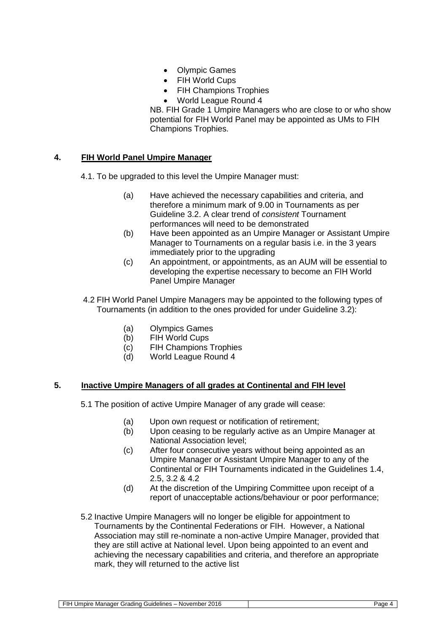- Olympic Games
- FIH World Cups
- FIH Champions Trophies
- World League Round 4

NB. FIH Grade 1 Umpire Managers who are close to or who show potential for FIH World Panel may be appointed as UMs to FIH Champions Trophies.

### **4. FIH World Panel Umpire Manager**

- 4.1. To be upgraded to this level the Umpire Manager must:
	- (a) Have achieved the necessary capabilities and criteria, and therefore a minimum mark of 9.00 in Tournaments as per Guideline 3.2. A clear trend of *consistent* Tournament performances will need to be demonstrated
	- (b) Have been appointed as an Umpire Manager or Assistant Umpire Manager to Tournaments on a regular basis i.e. in the 3 years immediately prior to the upgrading
	- (c) An appointment, or appointments, as an AUM will be essential to developing the expertise necessary to become an FIH World Panel Umpire Manager
- 4.2 FIH World Panel Umpire Managers may be appointed to the following types of Tournaments (in addition to the ones provided for under Guideline 3.2):
	- (a) Olympics Games
	- (b) FIH World Cups
	- (c) FIH Champions Trophies
	- (d) World League Round 4

### **5. Inactive Umpire Managers of all grades at Continental and FIH level**

- 5.1 The position of active Umpire Manager of any grade will cease:
	- (a) Upon own request or notification of retirement;<br>(b) Upon ceasing to be regularly active as an Ump
	- Upon ceasing to be regularly active as an Umpire Manager at National Association level;
	- (c) After four consecutive years without being appointed as an Umpire Manager or Assistant Umpire Manager to any of the Continental or FIH Tournaments indicated in the Guidelines 1.4, 2.5, 3.2 & 4.2
	- (d) At the discretion of the Umpiring Committee upon receipt of a report of unacceptable actions/behaviour or poor performance;
- 5.2 Inactive Umpire Managers will no longer be eligible for appointment to Tournaments by the Continental Federations or FIH. However, a National Association may still re-nominate a non-active Umpire Manager, provided that they are still active at National level. Upon being appointed to an event and achieving the necessary capabilities and criteria, and therefore an appropriate mark, they will returned to the active list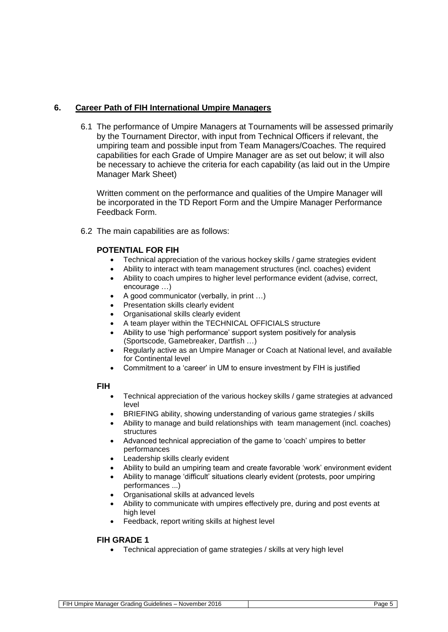## **6. Career Path of FIH International Umpire Managers**

6.1 The performance of Umpire Managers at Tournaments will be assessed primarily by the Tournament Director, with input from Technical Officers if relevant, the umpiring team and possible input from Team Managers/Coaches. The required capabilities for each Grade of Umpire Manager are as set out below; it will also be necessary to achieve the criteria for each capability (as laid out in the Umpire Manager Mark Sheet)

Written comment on the performance and qualities of the Umpire Manager will be incorporated in the TD Report Form and the Umpire Manager Performance Feedback Form.

6.2 The main capabilities are as follows:

### **POTENTIAL FOR FIH**

- Technical appreciation of the various hockey skills / game strategies evident
- Ability to interact with team management structures (incl. coaches) evident
- Ability to coach umpires to higher level performance evident (advise, correct, encourage …)
- A good communicator (verbally, in print …)
- Presentation skills clearly evident
- Organisational skills clearly evident
- A team player within the TECHNICAL OFFICIALS structure
- Ability to use 'high performance' support system positively for analysis (Sportscode, Gamebreaker, Dartfish …)
- Regularly active as an Umpire Manager or Coach at National level, and available for Continental level
- Commitment to a 'career' in UM to ensure investment by FIH is justified

#### **FIH**

- Technical appreciation of the various hockey skills / game strategies at advanced level
- BRIEFING ability, showing understanding of various game strategies / skills
- Ability to manage and build relationships with team management (incl. coaches) structures
- Advanced technical appreciation of the game to 'coach' umpires to better performances
- Leadership skills clearly evident
- Ability to build an umpiring team and create favorable 'work' environment evident
- Ability to manage 'difficult' situations clearly evident (protests, poor umpiring performances ...)
- Organisational skills at advanced levels
- Ability to communicate with umpires effectively pre, during and post events at high level
- Feedback, report writing skills at highest level

### **FIH GRADE 1**

Technical appreciation of game strategies / skills at very high level